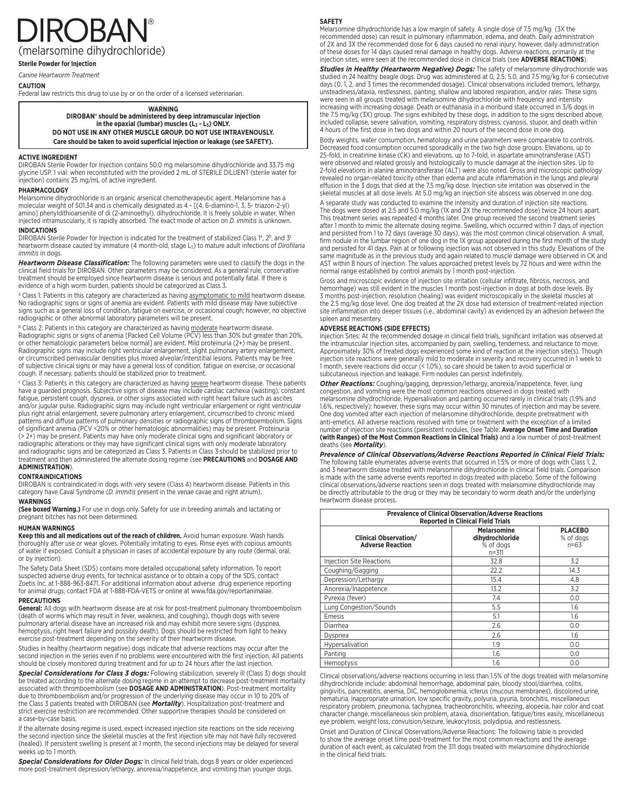# **IROBA** ®

(melarsomine dihydrochloride)

**Sterile Powder for Injection**

*Canine Heartworm Treatment*

## **CAUTION**

Federal law restricts this drug to use by or on the order of a licensed veterinarian.

## **WARNING**

**DIROBAN® should be administered by deep intramuscular injection**  in the epaxial (lumbar) muscles (L<sub>3</sub> - L<sub>5</sub>) ONLY. **DO NOT USE IN ANY OTHER MUSCLE GROUP. DO NOT USE INTRAVENOUSLY. Care should be taken to avoid superficial injection or leakage (see SAFETY).**

## **ACTIVE INGREDIENT**

DIROBAN Sterile Powder for Injection contains 50.0 mg melarsomine dihydrochloride and 33.75 mg glycine USP. 1 vial: when reconstituted with the provided 2 mL of STERILE DILUENT (sterile water for injection) contains 25 mg/mL of active ingredient.

## **PHARMACOLOGY**

Melarsomine dihydrochloride is an organic arsenical chemotherapeutic agent. Melarsomine has a molecular weight of 501.34 and is chemically designated as 4 - [(4, 6-diamino-1, 3, 5- triazon-2-yl) amino] phenyldithioarsenite of di (2-aminoethyl), dihydrochloride. It is freely soluble in water. When injected intramuscularly, it is rapidly absorbed. The exact mode of action on *D. immitis* is unknown.

## **INDICATIONS**

DIROBAN Sterile Powder for Injection is indicated for the treatment of stabilized Class 1ª, 2<sup>b</sup>, and 3<sup>c</sup> heartworm disease caused by immature (4 month-old, stage L5) to mature adult infections of *Dirofilaria immitis* in dogs.

*Heartworm Disease Classification:* The following parameters were used to classify the dogs in the clinical field trials for DIROBAN. Other parameters may be considered. As a general rule, conservative treatment should be employed since heartworm disease is serious and potentially fatal. If there is evidence of a high worm burden, patients should be categorized as Class 3.

ª Class 1: Patients in this category are characterized as having <u>asymptomatic to mild</u> heartworm disease.<br>No radiographic signs or signs of anemia are evident. Patients with mild disease may have subjective signs such as a general loss of condition, fatigue on exercise, or occasional cough; however, no objective radiographic or other abnormal laboratory parameters will be present.

<sup>b</sup> Class 2: Patients in this category are characterized as having moderate heartworm disease. Radiographic signs or signs of anemia [Packed Cell Volume (PCV) less than 30% but greater than 20%, or other hematologic parameters below normal] are evident. Mild proteinuria (2+) may be present. Radiographic signs may include right ventricular enlargement, slight pulmonary artery enlargement,<br>or circumscribed perivascular densities plus mixed alveolar/interstitial lesions. Patients may be free of subjective clinical signs or may have a general loss of condition, fatigue on exercise, or occasional cough. If necessary, patients should be stabilized prior to treatment.

<sup>c</sup> Class 3: Patients in this category are characterized as having severe heartworm disease. These patients have a guarded prognosis. Subjective signs of disease may include cardiac cachexia (wasting), constant fatigue, persistent cough, dyspnea, or other signs associated with right heart failure such as ascites and/or jugular pulse. Radiographic signs may include right ventricular enlargement or right ventricular plus right atrial enlargement, severe pulmonary artery enlargement, circumscribed to chronic mixed patterns and diffuse patterns of pulmonary densities or radiographic signs of thromboembolism. Signs of significant anemia (PCV <20% or other hematologic abnormalities) may be present. Proteinuria (> 2+) may be present. Patients may have only moderate clinical signs and significant laboratory or radiographic alterations or they may have significant clinical signs with only moderate laboratory and radiographic signs and be categorized as Class 3. Patients in Class 3 should be stabilized prior to treatment and then administered the alternate dosing regime (see **PRECAUTIONS** and **DOSAGE AND ADMINISTRATION**).

#### **CONTRAINDICATIONS**

DIROBAN is contraindicated in dogs with very severe (Class 4) heartworm disease. Patients in this category have Caval Syndrome (*D. immitis* present in the venae cavae and right atrium). **WARNINGS**

**(See boxed Warning.)** For use in dogs only. Safety for use in breeding animals and lactating or pregnant bitches has not been determined.

#### **HUMAN WARNINGS**

**Keep this and all medications out of the reach of children.** Avoid human exposure. Wash hands thoroughly after use or wear gloves. Potentially irritating to eyes. Rinse eyes with copious amounts of water if exposed. Consult a physician in cases of accidental exposure by any route (dermal, oral, or by injection).

The Safety Data Sheet (SDS) contains more detailed occupational safety information. To report suspected adverse drug events, for technical asistance or to obtain a copy of the SDS, contact Zoetis Inc. at 1-888-963-8471. For additional information about adverse drug experience reporting for animal drugs, contact FDA at 1-888-FDA-VETS or online at www.fda.gov/reportanimalae.

#### **PRECAUTIONS**

**General:** All dogs with heartworm disease are at risk for post-treatment pulmonary thromboembolism (death of worms which may result in fever, weakness, and coughing), though dogs with severe pulmonary arterial disease have an increased risk and may exhibit more severe signs (dyspnea, hemoptysis, right heart failure and possibly death). Dogs should be restricted from light to heavy exercise post-treatment depending on the severity of their heartworm disease.

Studies in healthy (heartworm negative) dogs indicate that adverse reactions may occur after the second injection in the series even if no problems were encountered with the first injection. All patients<br>should be closely monitored during treatment and for up to 24 hours after the last injection.

*Special Considerations for Class 3 dogs:* Following stabilization, severely ill (Class 3) dogs should be treated according to the alternate dosing regime in an attempt to decrease post-treatment mortality associated with thromboembolism (see **DOSAGE AND ADMINISTRATION**). Post-treatment mortality<br>due to thromboembolism and/or progression of the underlying disease may occur in 10 to 20% of the Class 3 patients treated with DIROBAN (see *Mortality*). Hospitalization post-treatment and<br>strict exercise restriction are recommended. Other supportive therapies should be considered on a case-by-case basis.

If the alternate dosing regime is used, expect increased injection site reactions on the side receiving the second injection since the skeletal muscles at the first injection site may not have fully recovered (healed). If persistent swelling is present at 1 month, the second injections may be delayed for several weeks up to 1 month.

**Special Considerations for Older Dogs:** In clinical field trials, dogs 8 years or older experienced more post-treatment depression/lethargy, anorexia/inappetence, and vomiting than younger dogs.

## **SAFETY**

Melarsomine dihydrochloride has a low margin of safety. A single dose of 7.5 mg/kg (3X the recommended dose) can result in pulmonary inflammation, edema, and death. Daily administration of 2X and 3X the recommended dose for 6 days caused no renal injury; however, daily administration of these doses for 14 days caused renal damage in healthy dogs. Adverse reactions, primarily at the injection sites, were seen at the recommended dose in clinical trials (see **ADVERSE REACTIONS**).

**Studies in Healthy (Heartworm Negative) Dogs:** The safety of melarsomine dihydrochloride was<br>studied in 24 healthy beagle dogs. Drug was administered at 0, 2.5, 5.0, and 7.5 mg/kg for 6 consecutive<br>days (0, 1, 2, and 3 ti unsteadiness/ataxia, restlessness, panting, shallow and labored respiration, and/or rales. These signs were seen in all groups treated with melarsomine dihydrochloride with frequency and intensity increasing with increasing dosage. Death or euthanasia in a moribund state occurred in 3/6 dogs in the 7.5 mg/kg (3X) group. The signs exhibited by these dogs, in addition to the signs described above,<br>included collapse, severe salivation, vomiting, respiratory distress, cyanosis, stupor, and death within<br>4 hours of the

Body weights, water consumption, hematology and urine parameters were comparable to controls. Decreased food consumption occurred sporadically in the two high dose groups. Elevations, up to 25-fold, in creatinine kinase (CK) and elevations, up to 7-fold, in aspartate aminotransferase (AST) were observed and related grossly and histologically to muscle damage at the injection sites. Up to 2-fold elevations in alanine aminotransferase (ALT) were also noted. Gross and microscopic pathology revealed no organ-related toxicity other than edema and acute inflammation in the lungs and pleural effusion in the 3 dogs that died at the 7.5 mg/kg dose. Injection site irritation was observed in the skeletal muscles at all dose levels. At 5.0 mg/kg an injection site abscess was observed in one dog.

A separate study was conducted to examine the intensity and duration of injection site reactions. The dogs were dosed at 2.5 and 5.0 mg/kg (1X and 2X the recommended dose) twice 24 hours apart. This treatment series was repeated 4 months later. One group received the second treatment series after 1 month to mimic the alternate dosing regime. Swelling, which occurred within 7 days of injection and persisted from 1 to 72 days (average 30 days), was the most common clinical observation. A small, firm nodule in the lumbar region of one dog in the 1X group appeared during the first month of the study and persisted for 41 days. Pain at or following injection was not observed in this study. Elevations of the same magnitude as in the previous study and again related to muscle damage were observed in CK and AST within 8 hours of injection. The values approached pretest levels by 72 hours and were within the normal range established by control animals by 1 month post-injection.

Gross and microscopic evidence of injection site irritation (cellular infiltrate, fibrosis, necrosis, and hemorrhage) was still evident in the muscles 1 month post-injection in dogs at both dose levels. By 3 months post-injection, resolution (healing) was evident microscopically in the skeletal muscles at the 2.5 mg/kg dose level. One dog treated at the 2X dose had extension of treatment-related injection site inflammation into deeper tissues (i.e., abdominal cavity) as evidenced by an adhesion between the spleen and mesentery.

#### **ADVERSE REACTIONS (SIDE EFFECTS)**

Injection Sites: At the recommended dosage in clinical field trials, significant irritation was observed at the intramuscular injection sites, accompanied by pain, swelling, tenderness, and reluctance to move. Approximately 30% of treated dogs experienced some kind of reaction at the injection site(s). Though injection site reactions were generally mild to moderate in severity and recovery occurred in 1 week to 1 month, severe reactions did occur (< 1.0%), so care should be taken to avoid superficial or subcutaneous injection and leakage. Firm nodules can persist indefinitely.

*Other Reactions:* Coughing/gagging, depression/lethargy, anorexia/inappetence, fever, lung congestion, and vomiting were the most common reactions observed in dogs treated with melarsomine dihydrochloride. Hypersalivation and panting occurred rarely in clinical trials (1.9% and 1.6%, respectively); however, these signs may occur within 30 minutes of injection and may be severe. One dog vomited after each injection of melarsomine dihydrochloride, despite pretreatment with anti-emetics. All adverse reactions resolved with time or treatment with the exception of a limited number of injection site reactions (persistent nodules, (see Table: **Average Onset Time and Duration (with Ranges) of the Most Common Reactions in Clinical Trials)** and a low number of post-treatment deaths (see *Mortality*).

*Prevalence of Clinical Observations/Adverse Reactions Reported in Clinical Field Trials:* The following table enumerates adverse events that occurred in 1.5% or more of dogs with Class 1, 2, and 3 heartworm disease treated with melarsomine dihydrochloride in clinical field trials. Comparison is made with the same adverse events reported in dogs treated with placebo. Some of the following clinical observations/adverse reactions seen in dogs treated with melarsomine dihydrochloride may be directly attributable to the drug or they may be secondary to worm death and/or the underlying heartworm disease process.

| <b>Prevalence of Clinical Observation/Adverse Reactions</b><br><b>Reported in Clinical Field Trials</b> |                                                             |                                       |  |  |  |  |  |  |
|---------------------------------------------------------------------------------------------------------|-------------------------------------------------------------|---------------------------------------|--|--|--|--|--|--|
| <b>Clinical Observation/</b><br><b>Adverse Reaction</b>                                                 | <b>Melarsomine</b><br>dihydrochloride<br>% of dogs<br>n=311 | <b>PLACEBO</b><br>% of dogs<br>$n=63$ |  |  |  |  |  |  |
| <b>Injection Site Reactions</b>                                                                         | 32.8                                                        | 3.2                                   |  |  |  |  |  |  |
| Coughing/Gagging                                                                                        | 22.2                                                        | 14.3                                  |  |  |  |  |  |  |
| Depression/Lethargy                                                                                     | 15.4                                                        | 4.8                                   |  |  |  |  |  |  |
| Anorexia/Inappetence                                                                                    | 13.2                                                        | 3.2                                   |  |  |  |  |  |  |
| Pyrexia (fever)                                                                                         | 7.4                                                         | 0.0                                   |  |  |  |  |  |  |
| Lung Congestion/Sounds                                                                                  | 5.5                                                         | 1.6                                   |  |  |  |  |  |  |
| Emesis                                                                                                  | 5.1                                                         | 1.6                                   |  |  |  |  |  |  |
| Diarrhea                                                                                                | 2.6                                                         | 0.0                                   |  |  |  |  |  |  |
| Dyspnea                                                                                                 | 2.6                                                         | 1.6                                   |  |  |  |  |  |  |
| Hypersalivation                                                                                         | 1.9                                                         | 0.0                                   |  |  |  |  |  |  |
| Panting                                                                                                 | $1.6\,$                                                     | 0.0                                   |  |  |  |  |  |  |
| Hemoptysis                                                                                              | 1.6                                                         | 0.0                                   |  |  |  |  |  |  |

Clinical observations/adverse reactions occurring in less than 1.5% of the dogs treated with melarsomine dihydrochloride include: abdominal hemorrhage, abdominal pain, bloody stool/diarrhea, colitis, gingivitis, pancreatitis, anemia, DIC, hemoglobinemia, icterus (mucous membranes), discolored urine, hematuria, inappropriate urination, low specific gravity, polyuria, pyuria, bronchitis, miscellaneous respiratory problem, pneumonia, tachypnea, tracheobronchitis, wheezing, alopecia, hair color and coat character change, miscellaneous skin problem, ataxia, disorientation, fatigue/tires easily, miscellaneous eye problem, weight loss, convulsion/seizure, leukocytosis, polydipsia, and restlessness.

Onset and Duration of Clinical Observations/Adverse Reactions: The following table is provided to show the average onset time post-treatment for the most common reactions and the average duration of each event, as calculated from the 311 dogs treated with melarsomine dihydrochloride in the clinical field trials.